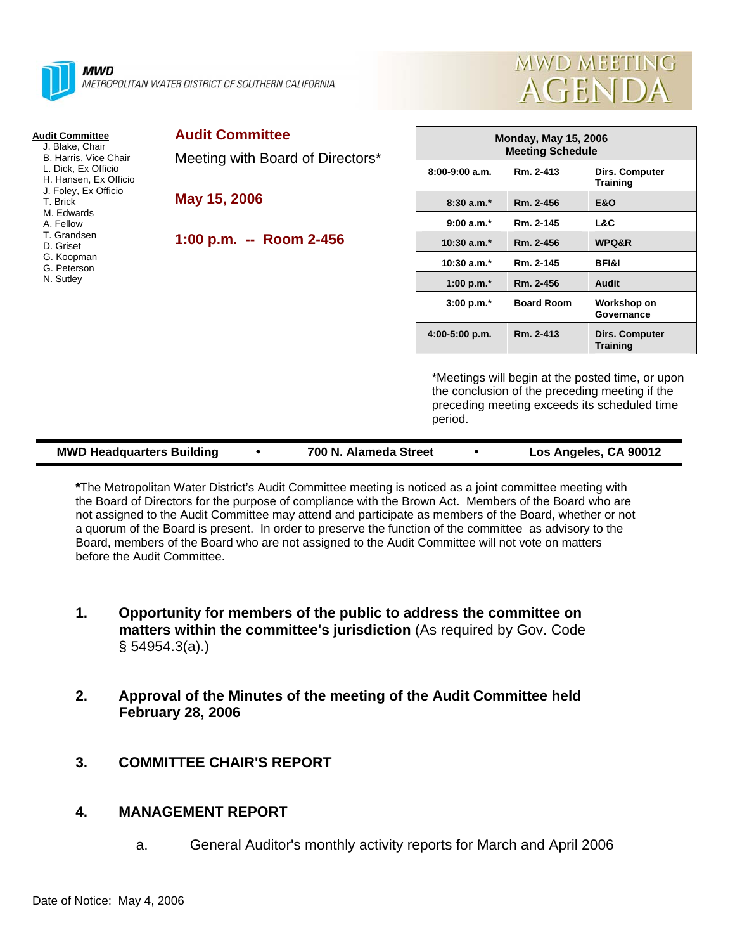

#### **Audit Committee**

- J. Blake, Chair B. Harris, Vice Chair
- L. Dick, Ex Officio
- H. Hansen, Ex Officio
- J. Foley, Ex Officio
- T. Brick M. Edwards
- A. Fellow
- T. Grandsen
- D. Griset
- G. Koopman
- G. Peterson
- N. Sutley

Meeting with Board of Directors\*

**May 15, 2006** 

**1:00 p.m. -- Room 2-456** 



| <b>Monday, May 15, 2006</b><br><b>Meeting Schedule</b> |                   |                                   |  |  |  |
|--------------------------------------------------------|-------------------|-----------------------------------|--|--|--|
| 8:00-9:00 a.m.                                         | Rm. 2-413         | Dirs. Computer<br><b>Training</b> |  |  |  |
| $8:30a.m.*$                                            | Rm. 2-456         | E&O                               |  |  |  |
| $9:00a.m.*$                                            | Rm. 2-145         | L&C                               |  |  |  |
| $10:30$ a.m. <sup>*</sup>                              | Rm. 2-456         | <b>WPQ&amp;R</b>                  |  |  |  |
| $10:30$ a.m. <sup>*</sup>                              | Rm. 2-145         | <b>BFI&amp;I</b>                  |  |  |  |
| 1:00 p.m. $*$                                          | Rm. 2-456         | Audit                             |  |  |  |
| $3:00 p.m.*$                                           | <b>Board Room</b> | Workshop on<br>Governance         |  |  |  |
| 4:00-5:00 p.m.                                         | Rm. 2-413         | Dirs. Computer<br>Training        |  |  |  |

\*Meetings will begin at the posted time, or upon the conclusion of the preceding meeting if the preceding meeting exceeds its scheduled time period.

| <b>MWD Headquarters Building</b> |  | 700 N. Alameda Street |  | Los Angeles, CA 90012 |
|----------------------------------|--|-----------------------|--|-----------------------|
|----------------------------------|--|-----------------------|--|-----------------------|

**\***The Metropolitan Water District's Audit Committee meeting is noticed as a joint committee meeting with the Board of Directors for the purpose of compliance with the Brown Act. Members of the Board who are not assigned to the Audit Committee may attend and participate as members of the Board, whether or not a quorum of the Board is present. In order to preserve the function of the committee as advisory to the Board, members of the Board who are not assigned to the Audit Committee will not vote on matters before the Audit Committee.

- **1. Opportunity for members of the public to address the committee on matters within the committee's jurisdiction** (As required by Gov. Code § 54954.3(a).)
- **2. Approval of the Minutes of the meeting of the Audit Committee held February 28, 2006**
- **3. COMMITTEE CHAIR'S REPORT**

### **4. MANAGEMENT REPORT**

a. General Auditor's monthly activity reports for March and April 2006